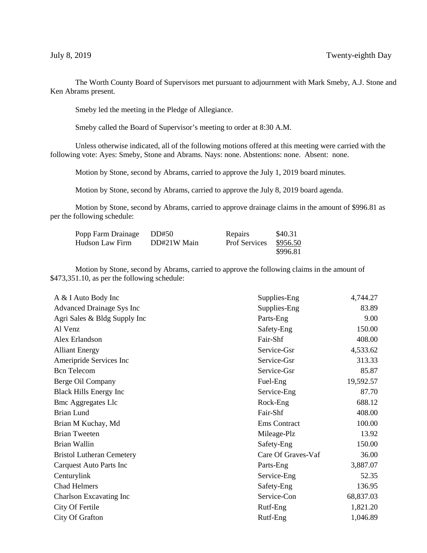The Worth County Board of Supervisors met pursuant to adjournment with Mark Smeby, A.J. Stone and Ken Abrams present.

Smeby led the meeting in the Pledge of Allegiance.

Smeby called the Board of Supervisor's meeting to order at 8:30 A.M.

Unless otherwise indicated, all of the following motions offered at this meeting were carried with the following vote: Ayes: Smeby, Stone and Abrams. Nays: none. Abstentions: none. Absent: none.

Motion by Stone, second by Abrams, carried to approve the July 1, 2019 board minutes.

Motion by Stone, second by Abrams, carried to approve the July 8, 2019 board agenda.

Motion by Stone, second by Abrams, carried to approve drainage claims in the amount of \$996.81 as per the following schedule:

| Popp Farm Drainage | DD#50       | <b>Repairs</b>       | \$40.31  |
|--------------------|-------------|----------------------|----------|
| Hudson Law Firm    | DD#21W Main | <b>Prof Services</b> | \$956.50 |
|                    |             |                      | \$996.81 |

Motion by Stone, second by Abrams, carried to approve the following claims in the amount of \$473,351.10, as per the following schedule:

| A & I Auto Body Inc              | Supplies-Eng       | 4,744.27  |
|----------------------------------|--------------------|-----------|
| Advanced Drainage Sys Inc        | Supplies-Eng       | 83.89     |
| Agri Sales & Bldg Supply Inc     | Parts-Eng          | 9.00      |
| Al Venz                          | Safety-Eng         | 150.00    |
| Alex Erlandson                   | Fair-Shf           | 408.00    |
| <b>Alliant Energy</b>            | Service-Gsr        | 4,533.62  |
| Ameripride Services Inc          | Service-Gsr        | 313.33    |
| <b>Bcn</b> Telecom               | Service-Gsr        | 85.87     |
| Berge Oil Company                | Fuel-Eng           | 19,592.57 |
| <b>Black Hills Energy Inc</b>    | Service-Eng        | 87.70     |
| <b>Bmc Aggregates Llc</b>        | Rock-Eng           | 688.12    |
| Brian Lund                       | Fair-Shf           | 408.00    |
| Brian M Kuchay, Md               | Ems Contract       | 100.00    |
| <b>Brian Tweeten</b>             | Mileage-Plz        | 13.92     |
| Brian Wallin                     | Safety-Eng         | 150.00    |
| <b>Bristol Lutheran Cemetery</b> | Care Of Graves-Vaf | 36.00     |
| Carquest Auto Parts Inc          | Parts-Eng          | 3,887.07  |
| Centurylink                      | Service-Eng        | 52.35     |
| <b>Chad Helmers</b>              | Safety-Eng         | 136.95    |
| Charlson Excavating Inc          | Service-Con        | 68,837.03 |
| City Of Fertile                  | Rutf-Eng           | 1,821.20  |
| City Of Grafton                  | Rutf-Eng           | 1,046.89  |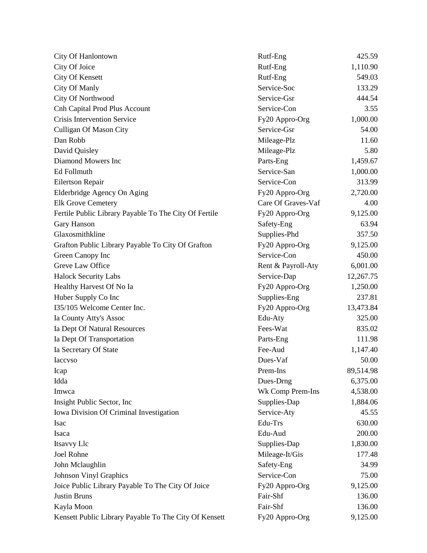| City Of Hanlontown                                    | Rutf-Eng           | 425.59    |
|-------------------------------------------------------|--------------------|-----------|
| City Of Joice                                         | Rutf-Eng           | 1,110.90  |
| <b>City Of Kensett</b>                                | Rutf-Eng           | 549.03    |
| <b>City Of Manly</b>                                  | Service-Soc        | 133.29    |
| City Of Northwood                                     | Service-Gsr        | 444.54    |
| <b>Cnh Capital Prod Plus Account</b>                  | Service-Con        | 3.55      |
| <b>Crisis Intervention Service</b>                    | Fy20 Appro-Org     | 1,000.00  |
| Culligan Of Mason City                                | Service-Gsr        | 54.00     |
| Dan Robb                                              | Mileage-Plz        | 11.60     |
| David Quisley                                         | Mileage-Plz        | 5.80      |
| Diamond Mowers Inc                                    | Parts-Eng          | 1,459.67  |
| Ed Follmuth                                           | Service-San        | 1,000.00  |
| Eilertson Repair                                      | Service-Con        | 313.99    |
| Elderbridge Agency On Aging                           | Fy20 Appro-Org     | 2,720.00  |
| <b>Elk Grove Cemetery</b>                             | Care Of Graves-Vaf | 4.00      |
| Fertile Public Library Payable To The City Of Fertile | Fy20 Appro-Org     | 9,125.00  |
| Gary Hanson                                           | Safety-Eng         | 63.94     |
| Glaxosmithkline                                       | Supplies-Phd       | 357.50    |
| Grafton Public Library Payable To City Of Grafton     | Fy20 Appro-Org     | 9,125.00  |
| Green Canopy Inc                                      | Service-Con        | 450.00    |
| Greve Law Office                                      | Rent & Payroll-Aty | 6,001.00  |
| <b>Halock Security Labs</b>                           | Service-Dap        | 12,267.75 |
| Healthy Harvest Of No Ia                              | Fy20 Appro-Org     | 1,250.00  |
| Huber Supply Co Inc                                   | Supplies-Eng       | 237.81    |
| I35/105 Welcome Center Inc.                           | Fy20 Appro-Org     | 13,473.84 |
| Ia County Atty's Assoc                                | Edu-Aty            | 325.00    |
| Ia Dept Of Natural Resources                          | Fees-Wat           | 835.02    |
| Ia Dept Of Transportation                             | Parts-Eng          | 111.98    |
| Ia Secretary Of State                                 | Fee-Aud            | 1,147.40  |
| Iaccvso                                               | Dues-Vaf           | 50.00     |
| Icap                                                  | Prem-Ins           | 89,514.98 |
| Idda                                                  | Dues-Drng          | 6,375.00  |
| Imwca                                                 | Wk Comp Prem-Ins   | 4,538.00  |
| Insight Public Sector, Inc.                           | Supplies-Dap       | 1,884.06  |
| Iowa Division Of Criminal Investigation               | Service-Aty        | 45.55     |
| Isac                                                  | Edu-Trs            | 630.00    |
| Isaca                                                 | Edu-Aud            | 200.00    |
| Itsavvy Llc                                           | Supplies-Dap       | 1,830.00  |
| Joel Rohne                                            | Mileage-It/Gis     | 177.48    |
| John Mclaughlin                                       | Safety-Eng         | 34.99     |
| <b>Johnson Vinyl Graphics</b>                         | Service-Con        | 75.00     |
| Joice Public Library Payable To The City Of Joice     | Fy20 Appro-Org     | 9,125.00  |
| <b>Justin Bruns</b>                                   | Fair-Shf           | 136.00    |
| Kayla Moon                                            | Fair-Shf           | 136.00    |
| Kensett Public Library Payable To The City Of Kensett | Fy20 Appro-Org     | 9,125.00  |
|                                                       |                    |           |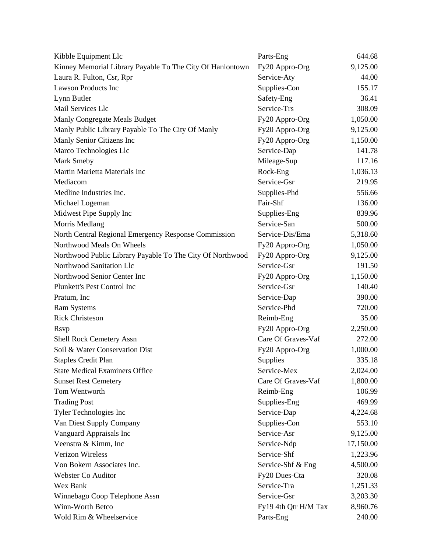| Kibble Equipment Llc                                      | Parts-Eng            | 644.68    |
|-----------------------------------------------------------|----------------------|-----------|
| Kinney Memorial Library Payable To The City Of Hanlontown | Fy20 Appro-Org       | 9,125.00  |
| Laura R. Fulton, Csr, Rpr                                 | Service-Aty          | 44.00     |
| <b>Lawson Products Inc</b>                                | Supplies-Con         | 155.17    |
| Lynn Butler                                               | Safety-Eng           | 36.41     |
| Mail Services Llc                                         | Service-Trs          | 308.09    |
| Manly Congregate Meals Budget                             | Fy20 Appro-Org       | 1,050.00  |
| Manly Public Library Payable To The City Of Manly         | Fy20 Appro-Org       | 9,125.00  |
| Manly Senior Citizens Inc                                 | Fy20 Appro-Org       | 1,150.00  |
| Marco Technologies Llc                                    | Service-Dap          | 141.78    |
| Mark Smeby                                                | Mileage-Sup          | 117.16    |
| Martin Marietta Materials Inc                             | Rock-Eng             | 1,036.13  |
| Mediacom                                                  | Service-Gsr          | 219.95    |
| Medline Industries Inc.                                   | Supplies-Phd         | 556.66    |
| Michael Logeman                                           | Fair-Shf             | 136.00    |
| Midwest Pipe Supply Inc                                   | Supplies-Eng         | 839.96    |
| Morris Medlang                                            | Service-San          | 500.00    |
| North Central Regional Emergency Response Commission      | Service-Dis/Ema      | 5,318.60  |
| Northwood Meals On Wheels                                 | Fy20 Appro-Org       | 1,050.00  |
| Northwood Public Library Payable To The City Of Northwood | Fy20 Appro-Org       | 9,125.00  |
| Northwood Sanitation Llc                                  | Service-Gsr          | 191.50    |
| Northwood Senior Center Inc                               | Fy20 Appro-Org       | 1,150.00  |
| Plunkett's Pest Control Inc                               | Service-Gsr          | 140.40    |
| Pratum, Inc                                               | Service-Dap          | 390.00    |
| Ram Systems                                               | Service-Phd          | 720.00    |
| <b>Rick Christeson</b>                                    | Reimb-Eng            | 35.00     |
| <b>Rsvp</b>                                               | Fy20 Appro-Org       | 2,250.00  |
| <b>Shell Rock Cemetery Assn</b>                           | Care Of Graves-Vaf   | 272.00    |
| Soil & Water Conservation Dist                            | Fy20 Appro-Org       | 1,000.00  |
| <b>Staples Credit Plan</b>                                | Supplies             | 335.18    |
| <b>State Medical Examiners Office</b>                     | Service-Mex          | 2,024.00  |
| <b>Sunset Rest Cemetery</b>                               | Care Of Graves-Vaf   | 1,800.00  |
| Tom Wentworth                                             | Reimb-Eng            | 106.99    |
| <b>Trading Post</b>                                       | Supplies-Eng         | 469.99    |
| Tyler Technologies Inc                                    | Service-Dap          | 4,224.68  |
| Van Diest Supply Company                                  | Supplies-Con         | 553.10    |
| Vanguard Appraisals Inc                                   | Service-Asr          | 9,125.00  |
| Veenstra & Kimm, Inc.                                     | Service-Ndp          | 17,150.00 |
| <b>Verizon Wireless</b>                                   | Service-Shf          | 1,223.96  |
| Von Bokern Associates Inc.                                | Service-Shf & Eng    | 4,500.00  |
| Webster Co Auditor                                        | Fy20 Dues-Cta        | 320.08    |
| Wex Bank                                                  | Service-Tra          | 1,251.33  |
| Winnebago Coop Telephone Assn                             | Service-Gsr          | 3,203.30  |
| Winn-Worth Betco                                          | Fy19 4th Qtr H/M Tax | 8,960.76  |
| Wold Rim & Wheelservice                                   | Parts-Eng            | 240.00    |